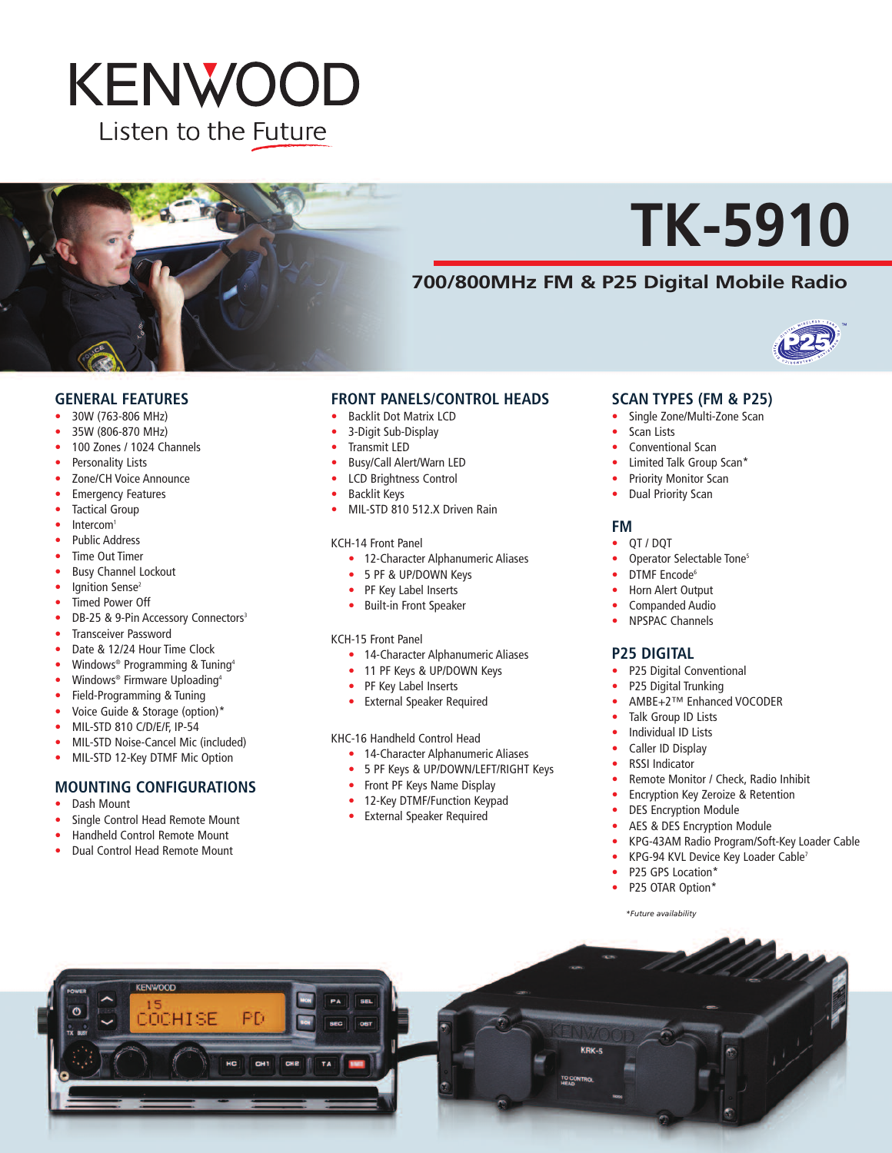# **KENWOOD** Listen to the Future



# **TK-5910**

### **700/800MHz FM & P25 Digital Mobile Radio**



#### **GENERAL FEATURES**

- 30W (763-806 MHz)
- 35W (806-870 MHz)
- 100 Zones / 1024 Channels
- Personality Lists
- Zone/CH Voice Announce
- **Emergency Features**
- Tactical Group
- Intercom<sup>1</sup>
- Public Address
- Time Out Timer
- Busy Channel Lockout
- Ignition Sense<sup>2</sup>
- Timed Power Off
- DB-25 & 9-Pin Accessory Connectors<sup>3</sup>
- Transceiver Password
- Date & 12/24 Hour Time Clock
- Windows<sup>®</sup> Programming & Tuning<sup>4</sup>
- Windows<sup>®</sup> Firmware Uploading<sup>4</sup>
- Field-Programming & Tuning
- Voice Guide & Storage (option)\*
- MIL-STD 810 C/D/E/F, IP-54
- MIL-STD Noise-Cancel Mic (included)
- MIL-STD 12-Key DTMF Mic Option

#### **MOUNTING CONFIGURATIONS**

- Dash Mount
- Single Control Head Remote Mount
- Handheld Control Remote Mount
- Dual Control Head Remote Mount

#### **FRONT PANELS/CONTROL HEADS**

- Backlit Dot Matrix LCD
- 3-Digit Sub-Display
- Transmit LED
- Busy/Call Alert/Warn LED
- LCD Brightness Control
- Backlit Keys
- MIL-STD 810 512.X Driven Rain

#### KCH-14 Front Panel

- 12-Character Alphanumeric Aliases
- 5 PF & UP/DOWN Keys
- PF Key Label Inserts
- Built-in Front Speaker

#### KCH-15 Front Panel

- 14-Character Alphanumeric Aliases
- 11 PF Keys & UP/DOWN Keys
- PF Key Label Inserts
- External Speaker Required

#### KHC-16 Handheld Control Head

- 14-Character Alphanumeric Aliases
- 5 PF Keys & UP/DOWN/LEFT/RIGHT Keys
- Front PF Keys Name Display
- 12-Key DTMF/Function Keypad
- External Speaker Required

#### **SCAN TYPES (FM & P25)**

- Single Zone/Multi-Zone Scan
- Scan Lists
	- Conventional Scan
- Limited Talk Group Scan\*
- Priority Monitor Scan
- Dual Priority Scan

#### **FM**

- QT / DQT
- Operator Selectable Tone<sup>5</sup>
- DTMF Encode<sup>6</sup>
- Horn Alert Output
- Companded Audio
- NPSPAC Channels

#### **P25 DIGITAL**

- P25 Digital Conventional
- P25 Digital Trunking
- AMBE+2™ Enhanced VOCODER
- Talk Group ID Lists
- Individual ID Lists
- Caller ID Display
- RSSI Indicator
- Remote Monitor / Check, Radio Inhibit
- Encryption Key Zeroize & Retention
- DES Encryption Module
- AES & DES Encryption Module
- KPG-43AM Radio Program/Soft-Key Loader Cable
- KPG-94 KVL Device Key Loader Cable<sup>7</sup>
- P25 GPS Location\*
- P25 OTAR Option\*

*\*Future availability*